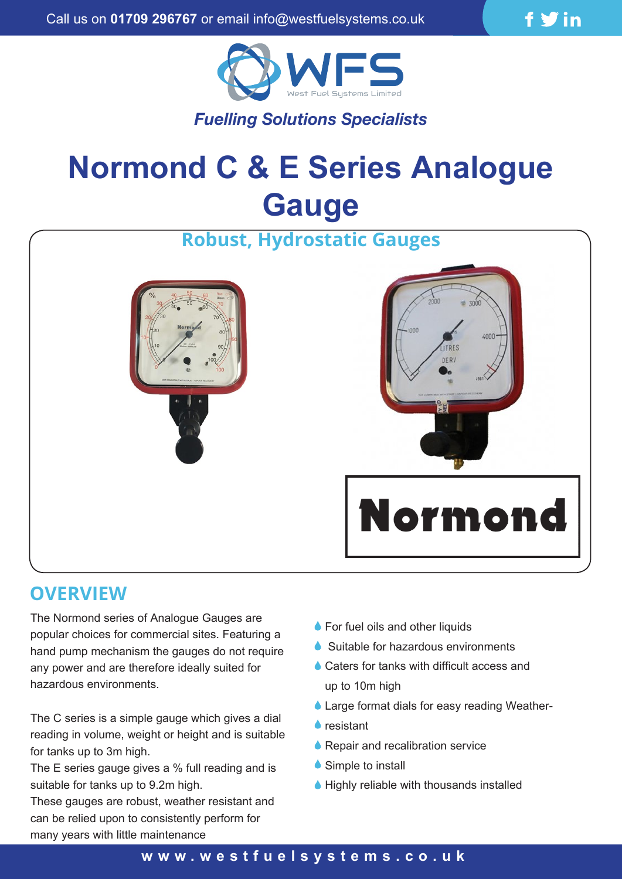



# *Fuelling Solutions Specialists*

# **Normond C & E Series Analogue Gauge**



## **OVERVIEW**

The Normond series of Analogue Gauges are popular choices for commercial sites. Featuring a hand pump mechanism the gauges do not require any power and are therefore ideally suited for hazardous environments.

The C series is a simple gauge which gives a dial reading in volume, weight or height and is suitable for tanks up to 3m high.

The E series gauge gives a % full reading and is suitable for tanks up to 9.2m high.

These gauges are robust, weather resistant and can be relied upon to consistently perform for many years with little maintenance

- **For fuel oils and other liquids**
- Suitable for hazardous environments
- **♦ Caters for tanks with difficult access and** up to 10m high
- ♦ Large format dials for easy reading Weather-
- resistant
- **A** Repair and recalibration service
- Simple to install
- $\blacklozenge$  Highly reliable with thousands installed

#### **w w w .westfuelsystems.co.uk**